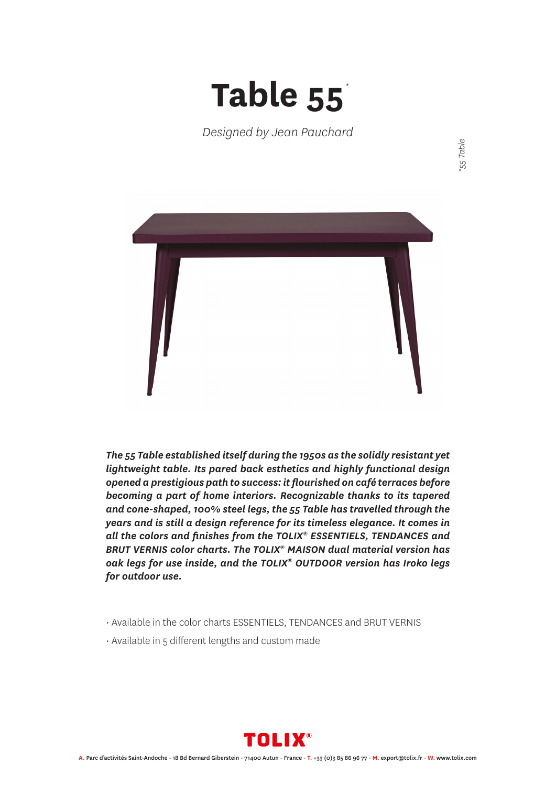## **Table 55** *\**

*Designed by Jean Pauchard*



*The 55 Table established itself during the 1950s as the solidly resistant yet lightweight table. Its pared back esthetics and highly functional design opened a prestigious path to success: it flourished on café terraces before becoming a part of home interiors. Recognizable thanks to its tapered and cone-shaped, 100% steel legs, the 55 Table has travelled through the years and is still a design reference for its timeless elegance. It comes in all the colors and finishes from the TOLIX® ESSENTIELS, TENDANCES and BRUT VERNIS color charts. The TOLIX® MAISON dual material version has oak legs for use inside, and the TOLIX® OUTDOOR version has Iroko legs for outdoor use.*

- Available in the color charts ESSENTIELS, TENDANCES and BRUT VERNIS
- Available in 5 different lengths and custom made